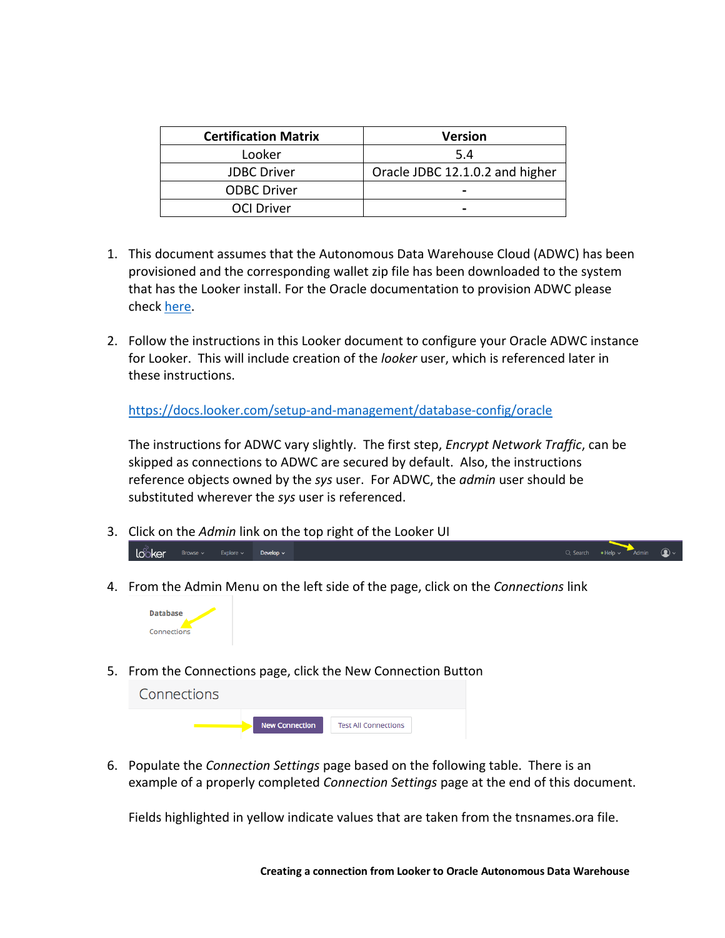| <b>Certification Matrix</b> | <b>Version</b>                  |
|-----------------------------|---------------------------------|
| Looker                      | 5.4                             |
| <b>JDBC</b> Driver          | Oracle JDBC 12.1.0.2 and higher |
| <b>ODBC Driver</b>          |                                 |
| <b>OCI Driver</b>           |                                 |

- 1. This document assumes that the Autonomous Data Warehouse Cloud (ADWC) has been provisioned and the corresponding wallet zip file has been downloaded to the system that has the Looker install. For the Oracle documentation to provision ADWC please check here.
- 2. Follow the instructions in this Looker document to configure your Oracle ADWC instance for Looker. This will include creation of the *looker* user, which is referenced later in these instructions.

https://docs.looker.com/setup-and-management/database-config/oracle

 The instructions for ADWC vary slightly. The first step, *Encrypt Network Traffic*, can be skipped as connections to ADWC are secured by default. Also, the instructions reference objects owned by the *sys* user. For ADWC, the *admin* user should be substituted wherever the *sys* user is referenced.

- 3. Click on the *Admin* link on the top right of the Looker UI  $10^{\circ}$  ker Browse  $\times$  Explore  $\times$  Develop  $\times$
- 4. From the Admin Menu on the left side of the page, click on the *Connections* link



5. From the Connections page, click the New Connection Button

| Connections |                       |                             |  |
|-------------|-----------------------|-----------------------------|--|
|             | <b>New Connection</b> | <b>Test All Connections</b> |  |

 6. Populate the *Connection Settings* page based on the following table. There is an example of a properly completed *Connection Settings* page at the end of this document.

Fields highlighted in yellow indicate values that are taken from the tnsnames.ora file.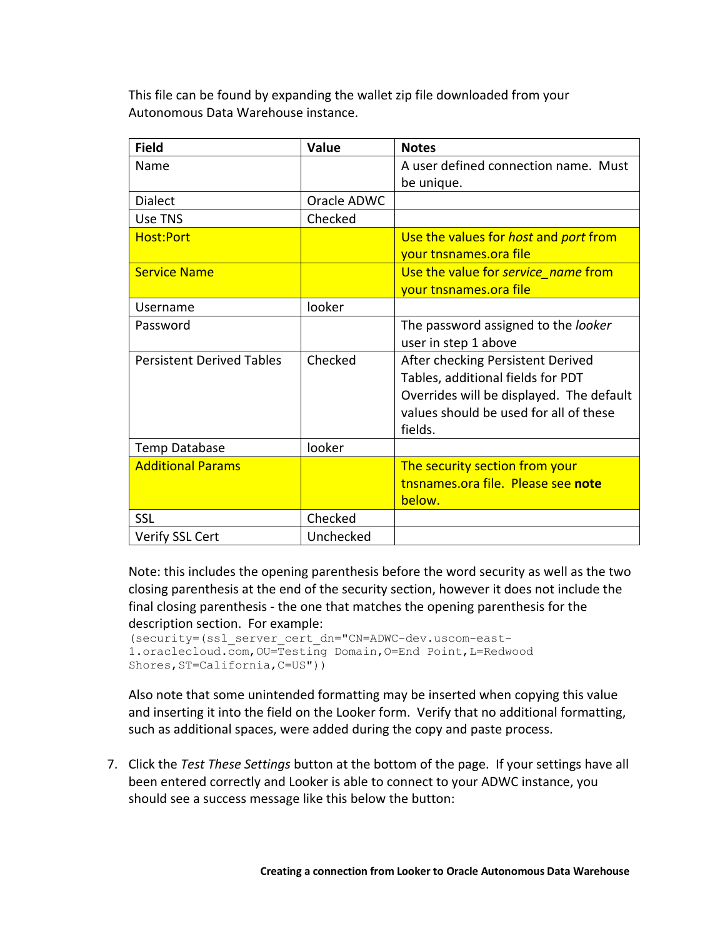This file can be found by expanding the wallet zip file downloaded from your Autonomous Data Warehouse instance.

| <b>Field</b>                     | Value       | <b>Notes</b>                             |
|----------------------------------|-------------|------------------------------------------|
| Name                             |             | A user defined connection name. Must     |
|                                  |             | be unique.                               |
| <b>Dialect</b>                   | Oracle ADWC |                                          |
| Use TNS                          | Checked     |                                          |
| <b>Host:Port</b>                 |             | Use the values for host and port from    |
|                                  |             | your tnsnames.ora file                   |
| <b>Service Name</b>              |             | Use the value for service name from      |
|                                  |             | your tnsnames.ora file                   |
| Username                         | looker      |                                          |
| Password                         |             | The password assigned to the looker      |
|                                  |             | user in step 1 above                     |
| <b>Persistent Derived Tables</b> | Checked     | After checking Persistent Derived        |
|                                  |             | Tables, additional fields for PDT        |
|                                  |             | Overrides will be displayed. The default |
|                                  |             | values should be used for all of these   |
|                                  |             | fields.                                  |
| Temp Database                    | looker      |                                          |
| <b>Additional Params</b>         |             | The security section from your           |
|                                  |             | tnsnames.ora file. Please see note       |
|                                  |             | below.                                   |
| <b>SSL</b>                       | Checked     |                                          |
| Verify SSL Cert                  | Unchecked   |                                          |

 Note: this includes the opening parenthesis before the word security as well as the two closing parenthesis at the end of the security section, however it does not include the final closing parenthesis - the one that matches the opening parenthesis for the description section. For example:

```
(security=(ssl_server_cert_dn="CN=ADWC-dev.uscom-east-
1.oraclecloud.com,OU=Testing Domain,O=End Point,L=Redwood 
Shores, ST=California, C=US"))
```
 Also note that some unintended formatting may be inserted when copying this value and inserting it into the field on the Looker form. Verify that no additional formatting, such as additional spaces, were added during the copy and paste process.

 7. Click the *Test These Settings* button at the bottom of the page. If your settings have all been entered correctly and Looker is able to connect to your ADWC instance, you should see a success message like this below the button: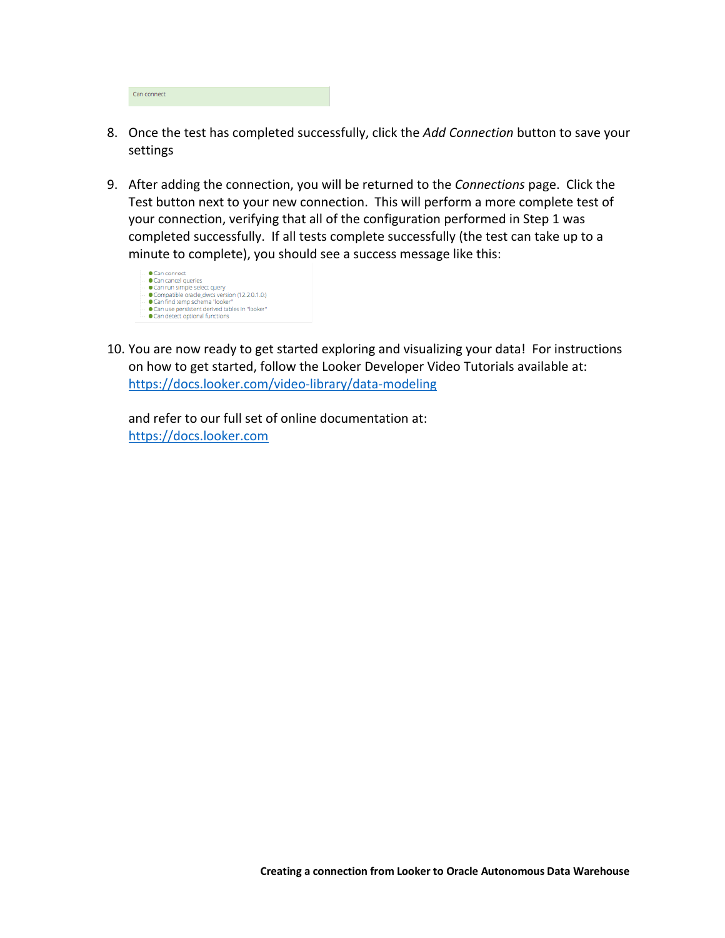| Can connect |
|-------------|
|-------------|

- 8. Once the test has completed successfully, click the *Add Connection* button to save your settings
- 9. After adding the connection, you will be returned to the *Connections* page. Click the Test button next to your new connection. This will perform a more complete test of your connection, verifying that all of the configuration performed in Step 1 was completed successfully. If all tests complete successfully (the test can take up to a minute to complete), you should see a success message like this:



 10. You are now ready to get started exploring and visualizing your data! For instructions on how to get started, follow the Looker Developer Video Tutorials available at: https://docs.looker.com/video-library/data-modeling

 and refer to our full set of online documentation at: https://docs.looker.com